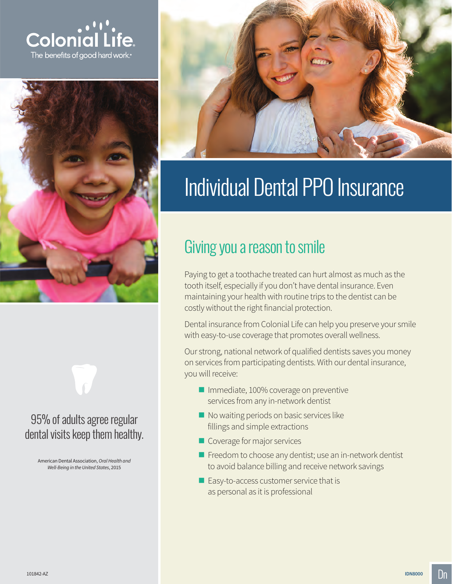





## 95% of adults agree regular dental visits keep them healthy.

American Dental Association, *Oral Health and Well-Being in the United States*, 2015



# Individual Dental PPO Insurance

## Giving you a reason to smile

Paying to get a toothache treated can hurt almost as much as the tooth itself, especially if you don't have dental insurance. Even maintaining your health with routine trips to the dentist can be costly without the right financial protection.

Dental insurance from Colonial Life can help you preserve your smile with easy-to-use coverage that promotes overall wellness.

Our strong, national network of qualified dentists saves you money on services from participating dentists. With our dental insurance, you will receive:

- **Immediate, 100% coverage on preventive** services from any in-network dentist
- No waiting periods on basic services like fillings and simple extractions
- Coverage for major services
- Freedom to choose any dentist; use an in-network dentist to avoid balance billing and receive network savings
- Easy-to-access customer service that is as personal as it is professional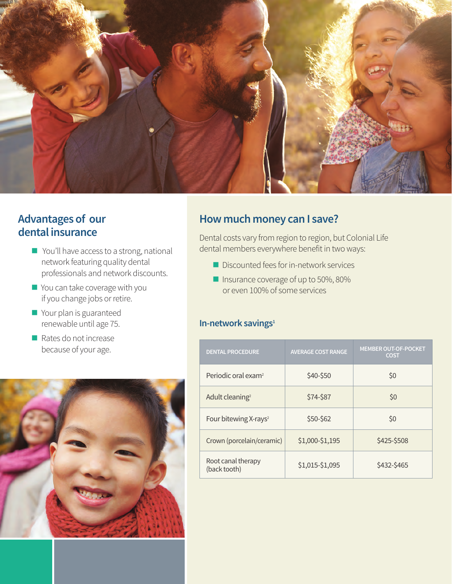

## **Advantages of our dental insurance**

- You'll have access to a strong, national network featuring quality dental professionals and network discounts.
- You can take coverage with you if you change jobs or retire.
- **Nour plan is guaranteed** renewable until age 75.
- $\blacksquare$  Rates do not increase because of your age.



#### **How much money can I save?**

Dental costs vary from region to region, but Colonial Life dental members everywhere benefit in two ways:

- Discounted fees for in-network services
- Insurance coverage of up to 50%, 80% or even 100% of some services

#### **In-network savings<sup>1</sup>**

| <b>DENTAL PROCEDURE</b>            | <b>AVERAGE COST RANGE</b> | <b>MEMBER OUT-OF-POCKET</b><br><b>COST</b> |
|------------------------------------|---------------------------|--------------------------------------------|
| Periodic oral exam <sup>2</sup>    | \$40-\$50                 | \$0                                        |
| Adult cleaning <sup>2</sup>        | \$74-\$87                 | \$0                                        |
| Four bitewing X-rays <sup>2</sup>  | \$50-\$62                 | \$0                                        |
| Crown (porcelain/ceramic)          | \$1,000-\$1,195           | \$425-\$508                                |
| Root canal therapy<br>(back tooth) | \$1,015-\$1,095           | \$432-\$465                                |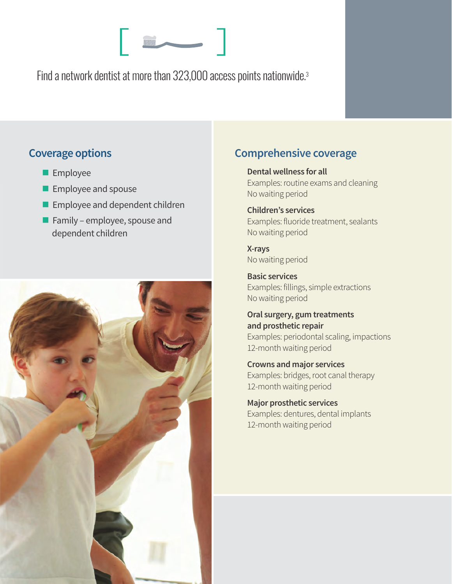Find a network dentist at more than 323,000 access points nationwide.3

## **Coverage options**

- **Employee**
- **Employee and spouse**
- **Employee and dependent children**
- **Family employee, spouse and** dependent children



## **Comprehensive coverage**

**Dental wellness for all** Examples: routine exams and cleaning No waiting period

#### **Children's services**  Examples: fluoride treatment, sealants No waiting period

**X-rays** No waiting period

**Basic services**  Examples: fillings, simple extractions No waiting period

**Oral surgery, gum treatments and prosthetic repair**  Examples: periodontal scaling, impactions 12-month waiting period

**Crowns and major services**  Examples: bridges, root canal therapy 12-month waiting period

**Major prosthetic services**  Examples: dentures, dental implants 12-month waiting period